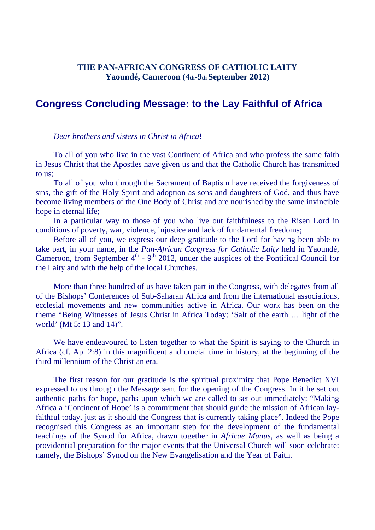## **THE PAN-AFRICAN CONGRESS OF CATHOLIC LAITY Yaoundé, Cameroon (4th-9th September 2012)**

## **Congress Concluding Message: to the Lay Faithful of Africa**

## *Dear brothers and sisters in Christ in Africa*!

To all of you who live in the vast Continent of Africa and who profess the same faith in Jesus Christ that the Apostles have given us and that the Catholic Church has transmitted to us;

To all of you who through the Sacrament of Baptism have received the forgiveness of sins, the gift of the Holy Spirit and adoption as sons and daughters of God, and thus have become living members of the One Body of Christ and are nourished by the same invincible hope in eternal life;

In a particular way to those of you who live out faithfulness to the Risen Lord in conditions of poverty, war, violence, injustice and lack of fundamental freedoms;

Before all of you, we express our deep gratitude to the Lord for having been able to take part, in your name, in the *Pan-African Congress for Catholic Laity* held in Yaoundé, Cameroon, from September  $4^{th}$  -  $9^{th}$  2012, under the auspices of the Pontifical Council for the Laity and with the help of the local Churches.

More than three hundred of us have taken part in the Congress, with delegates from all of the Bishops' Conferences of Sub-Saharan Africa and from the international associations, ecclesial movements and new communities active in Africa. Our work has been on the theme "Being Witnesses of Jesus Christ in Africa Today: 'Salt of the earth … light of the world' (Mt 5: 13 and 14)".

We have endeavoured to listen together to what the Spirit is saying to the Church in Africa (cf. Ap. 2:8) in this magnificent and crucial time in history, at the beginning of the third millennium of the Christian era.

The first reason for our gratitude is the spiritual proximity that Pope Benedict XVI expressed to us through the Message sent for the opening of the Congress. In it he set out authentic paths for hope, paths upon which we are called to set out immediately: "Making Africa a 'Continent of Hope' is a commitment that should guide the mission of African layfaithful today, just as it should the Congress that is currently taking place". Indeed the Pope recognised this Congress as an important step for the development of the fundamental teachings of the Synod for Africa, drawn together in *Africae Munus*, as well as being a providential preparation for the major events that the Universal Church will soon celebrate: namely, the Bishops' Synod on the New Evangelisation and the Year of Faith.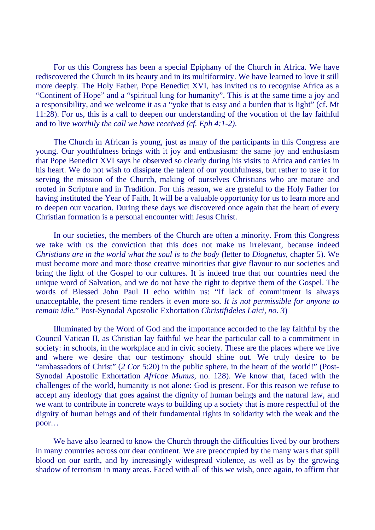For us this Congress has been a special Epiphany of the Church in Africa. We have rediscovered the Church in its beauty and in its multiformity. We have learned to love it still more deeply. The Holy Father, Pope Benedict XVI, has invited us to recognise Africa as a "Continent of Hope" and a "spiritual lung for humanity". This is at the same time a joy and a responsibility, and we welcome it as a "yoke that is easy and a burden that is light" (cf. Mt 11:28). For us, this is a call to deepen our understanding of the vocation of the lay faithful and to live *worthily the call we have received (cf. Eph 4:1-2)*.

The Church in African is young, just as many of the participants in this Congress are young. Our youthfulness brings with it joy and enthusiasm: the same joy and enthusiasm that Pope Benedict XVI says he observed so clearly during his visits to Africa and carries in his heart. We do not wish to dissipate the talent of our youthfulness, but rather to use it for serving the mission of the Church, making of ourselves Christians who are mature and rooted in Scripture and in Tradition. For this reason, we are grateful to the Holy Father for having instituted the Year of Faith. It will be a valuable opportunity for us to learn more and to deepen our vocation. During these days we discovered once again that the heart of every Christian formation is a personal encounter with Jesus Christ.

In our societies, the members of the Church are often a minority. From this Congress we take with us the conviction that this does not make us irrelevant, because indeed *Christians are in the world what the soul is to the body* (letter to *Diognetus*, chapter 5). We must become more and more those creative minorities that give flavour to our societies and bring the light of the Gospel to our cultures. It is indeed true that our countries need the unique word of Salvation, and we do not have the right to deprive them of the Gospel. The words of Blessed John Paul II echo within us: "If lack of commitment is always unacceptable, the present time renders it even more so. *It is not permissible for anyone to remain idle.*" Post-Synodal Apostolic Exhortation *Christifideles Laici, no. 3*)

Illuminated by the Word of God and the importance accorded to the lay faithful by the Council Vatican II, as Christian lay faithful we hear the particular call to a commitment in society: in schools, in the workplace and in civic society. These are the places where we live and where we desire that our testimony should shine out. We truly desire to be "ambassadors of Christ" (*2 Cor* 5:20) in the public sphere, in the heart of the world!" (Post-Synodal Apostolic Exhortation *Africae Munus*, no. 128). We know that, faced with the challenges of the world, humanity is not alone: God is present. For this reason we refuse to accept any ideology that goes against the dignity of human beings and the natural law, and we want to contribute in concrete ways to building up a society that is more respectful of the dignity of human beings and of their fundamental rights in solidarity with the weak and the poor…

We have also learned to know the Church through the difficulties lived by our brothers in many countries across our dear continent. We are preoccupied by the many wars that spill blood on our earth, and by increasingly widespread violence, as well as by the growing shadow of terrorism in many areas. Faced with all of this we wish, once again, to affirm that